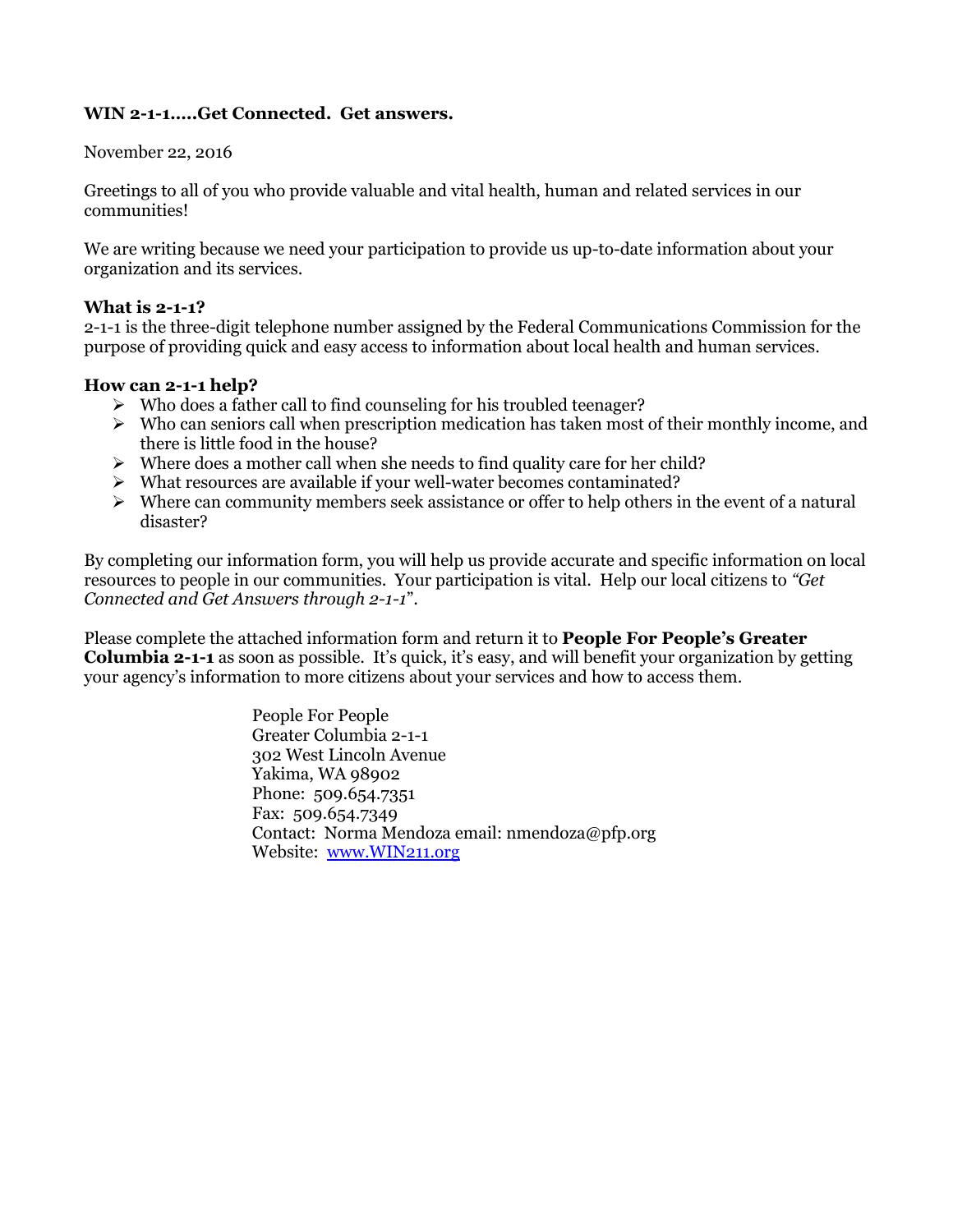# **WIN 2-1-1…..Get Connected. Get answers.**

#### November 22, 2016

Greetings to all of you who provide valuable and vital health, human and related services in our communities!

We are writing because we need your participation to provide us up-to-date information about your organization and its services.

### **What is 2-1-1?**

2-1-1 is the three-digit telephone number assigned by the Federal Communications Commission for the purpose of providing quick and easy access to information about local health and human services.

# **How can 2-1-1 help?**

- $\triangleright$  Who does a father call to find counseling for his troubled teenager?
- $\triangleright$  Who can seniors call when prescription medication has taken most of their monthly income, and there is little food in the house?
- $\triangleright$  Where does a mother call when she needs to find quality care for her child?
- $\triangleright$  What resources are available if your well-water becomes contaminated?
- $\triangleright$  Where can community members seek assistance or offer to help others in the event of a natural disaster?

By completing our information form, you will help us provide accurate and specific information on local resources to people in our communities. Your participation is vital. Help our local citizens to *"Get Connected and Get Answers through 2-1-1*".

Please complete the attached information form and return it to **People For People's Greater Columbia 2-1-1** as soon as possible. It's quick, it's easy, and will benefit your organization by getting your agency's information to more citizens about your services and how to access them.

> People For People Greater Columbia 2-1-1 302 West Lincoln Avenue Yakima, WA 98902 Phone: 509.654.7351 Fax: 509.654.7349 Contact: Norma Mendoza email: nmendoza@pfp.org Website: [www.WIN211.org](http://www.win211.org/)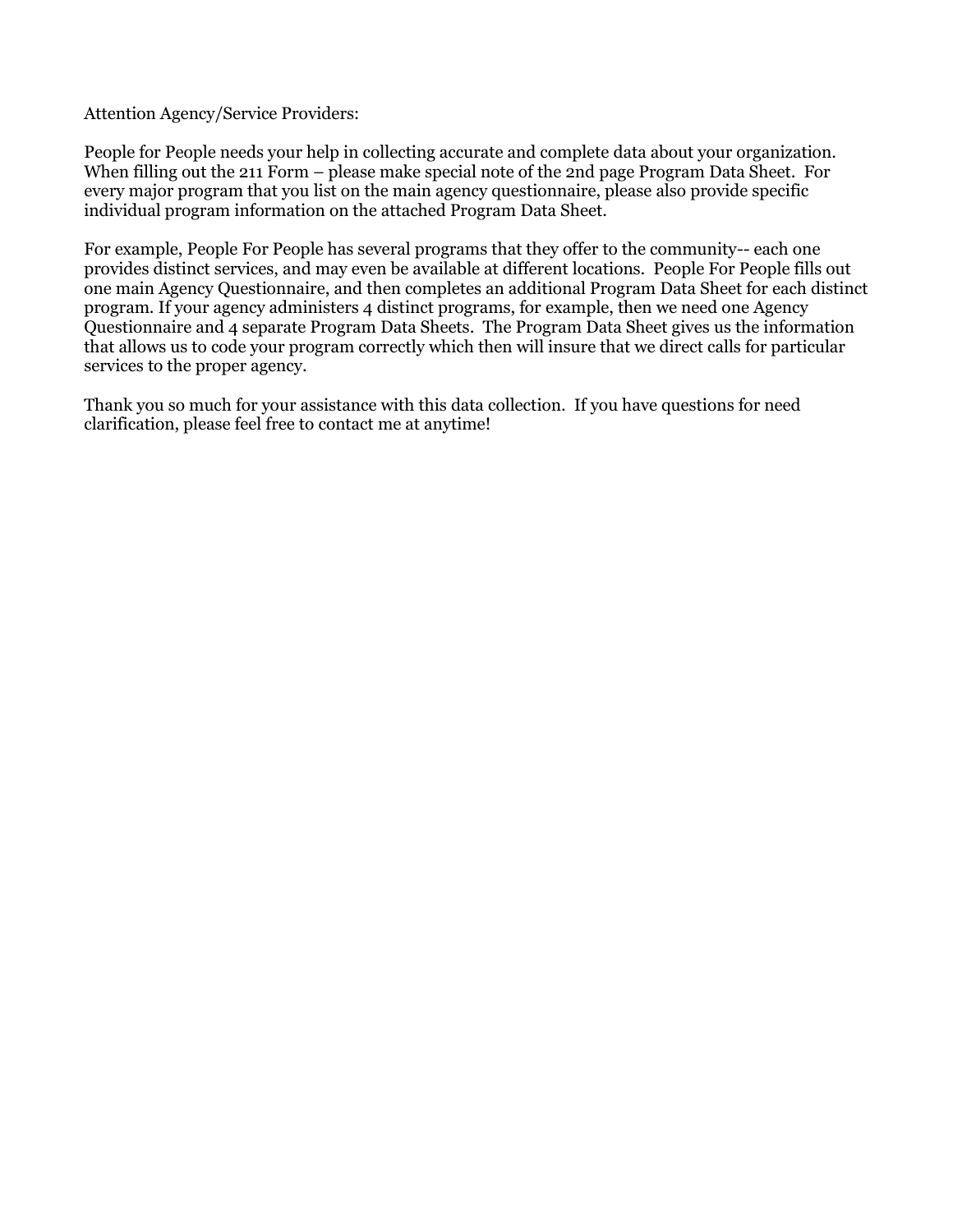#### Attention Agency/Service Providers:

People for People needs your help in collecting accurate and complete data about your organization. When filling out the 211 Form – please make special note of the 2nd page Program Data Sheet. For every major program that you list on the main agency questionnaire, please also provide specific individual program information on the attached Program Data Sheet.

For example, People For People has several programs that they offer to the community-- each one provides distinct services, and may even be available at different locations. People For People fills out one main Agency Questionnaire, and then completes an additional Program Data Sheet for each distinct program. If your agency administers 4 distinct programs, for example, then we need one Agency Questionnaire and 4 separate Program Data Sheets. The Program Data Sheet gives us the information that allows us to code your program correctly which then will insure that we direct calls for particular services to the proper agency.

Thank you so much for your assistance with this data collection. If you have questions for need clarification, please feel free to contact me at anytime!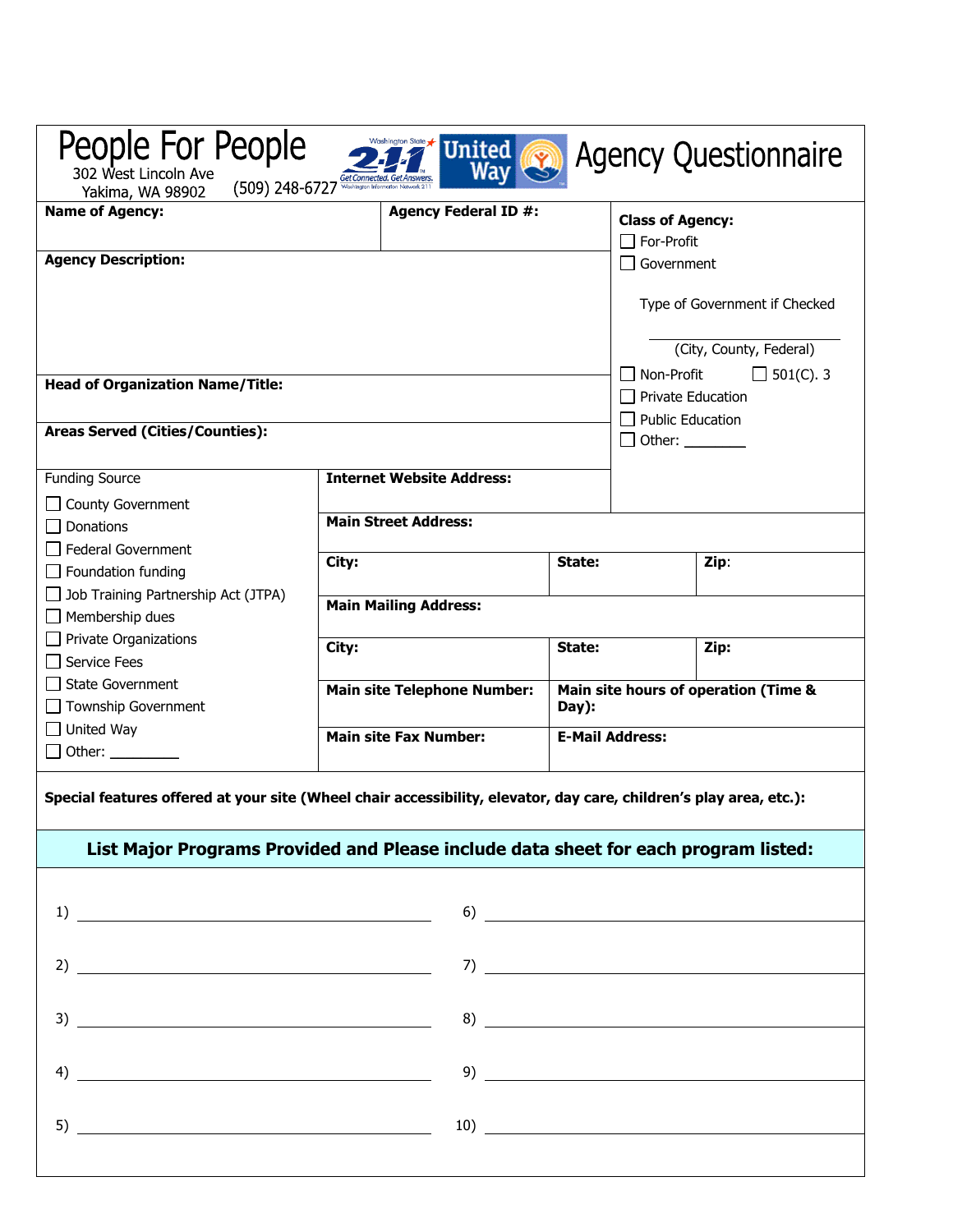| People For People<br>302 West Lincoln Ave                                                                                   | Washington State<br>United                                                          |        |                                                                     | <b>Agency Questionnaire</b>                                                                                                                                                                                                                                                                                                                                       |  |  |
|-----------------------------------------------------------------------------------------------------------------------------|-------------------------------------------------------------------------------------|--------|---------------------------------------------------------------------|-------------------------------------------------------------------------------------------------------------------------------------------------------------------------------------------------------------------------------------------------------------------------------------------------------------------------------------------------------------------|--|--|
| Yakima, WA 98902<br><b>Name of Agency:</b>                                                                                  | (509) 248-6727<br><b>Agency Federal ID #:</b>                                       |        |                                                                     | <b>Class of Agency:</b><br>$\Box$ For-Profit                                                                                                                                                                                                                                                                                                                      |  |  |
| <b>Agency Description:</b>                                                                                                  |                                                                                     |        | $\Box$ Government                                                   |                                                                                                                                                                                                                                                                                                                                                                   |  |  |
|                                                                                                                             |                                                                                     |        | $\Box$ Non-Profit                                                   | Type of Government if Checked<br>(City, County, Federal)<br>$\Box$ 501(C). 3                                                                                                                                                                                                                                                                                      |  |  |
| <b>Head of Organization Name/Title:</b>                                                                                     |                                                                                     |        | <b>Private Education</b>                                            |                                                                                                                                                                                                                                                                                                                                                                   |  |  |
| <b>Areas Served (Cities/Counties):</b>                                                                                      |                                                                                     |        | <b>Public Education</b><br>$\Box$ Other: $\_\_\_\_\_\_\_\_\_\_\_\_$ |                                                                                                                                                                                                                                                                                                                                                                   |  |  |
| <b>Funding Source</b>                                                                                                       | <b>Internet Website Address:</b>                                                    |        |                                                                     |                                                                                                                                                                                                                                                                                                                                                                   |  |  |
| <b>County Government</b><br>$\Box$ Donations<br>Federal Government                                                          | <b>Main Street Address:</b>                                                         |        |                                                                     |                                                                                                                                                                                                                                                                                                                                                                   |  |  |
| $\Box$ Foundation funding                                                                                                   | City:                                                                               | State: |                                                                     | Zip:                                                                                                                                                                                                                                                                                                                                                              |  |  |
| $\Box$ Job Training Partnership Act (JTPA)<br>$\Box$ Membership dues                                                        | <b>Main Mailing Address:</b>                                                        |        |                                                                     |                                                                                                                                                                                                                                                                                                                                                                   |  |  |
| $\Box$ Private Organizations<br>□ Service Fees                                                                              | City:                                                                               | State: |                                                                     | Zip:                                                                                                                                                                                                                                                                                                                                                              |  |  |
| State Government                                                                                                            | <b>Main site Telephone Number:</b>                                                  |        | Main site hours of operation (Time &                                |                                                                                                                                                                                                                                                                                                                                                                   |  |  |
| $\Box$ Township Government<br>$\Box$ United Way                                                                             | Day):                                                                               |        |                                                                     |                                                                                                                                                                                                                                                                                                                                                                   |  |  |
| $\Box$ Other: __________                                                                                                    | <b>Main site Fax Number:</b><br><b>E-Mail Address:</b>                              |        |                                                                     |                                                                                                                                                                                                                                                                                                                                                                   |  |  |
| Special features offered at your site (Wheel chair accessibility, elevator, day care, children's play area, etc.):          | List Major Programs Provided and Please include data sheet for each program listed: |        |                                                                     |                                                                                                                                                                                                                                                                                                                                                                   |  |  |
| $\begin{tabular}{c} 1) \end{tabular}$                                                                                       |                                                                                     |        |                                                                     | $\begin{picture}(60,10)(-10,0) \put(0,0){\vector(1,0){100}} \put(15,0){\vector(1,0){100}} \put(15,0){\vector(1,0){100}} \put(15,0){\vector(1,0){100}} \put(15,0){\vector(1,0){100}} \put(15,0){\vector(1,0){100}} \put(15,0){\vector(1,0){100}} \put(15,0){\vector(1,0){100}} \put(15,0){\vector(1,0){100}} \put(15,0){\vector(1,0){100}} \put(15,0){\vector(1,0$ |  |  |
| 2) $\overline{\phantom{a}}$                                                                                                 |                                                                                     |        |                                                                     |                                                                                                                                                                                                                                                                                                                                                                   |  |  |
|                                                                                                                             |                                                                                     |        |                                                                     |                                                                                                                                                                                                                                                                                                                                                                   |  |  |
| <u> 1980 - Johann Barnett, fransk politik (d. 1980)</u><br>4)                                                               |                                                                                     |        |                                                                     |                                                                                                                                                                                                                                                                                                                                                                   |  |  |
| 5)<br><u> 1980 - Johann Barbara, martin amerikan basar dan basar dan basar dalam basar dalam basar dalam basar dalam ba</u> |                                                                                     |        |                                                                     |                                                                                                                                                                                                                                                                                                                                                                   |  |  |
|                                                                                                                             |                                                                                     |        |                                                                     |                                                                                                                                                                                                                                                                                                                                                                   |  |  |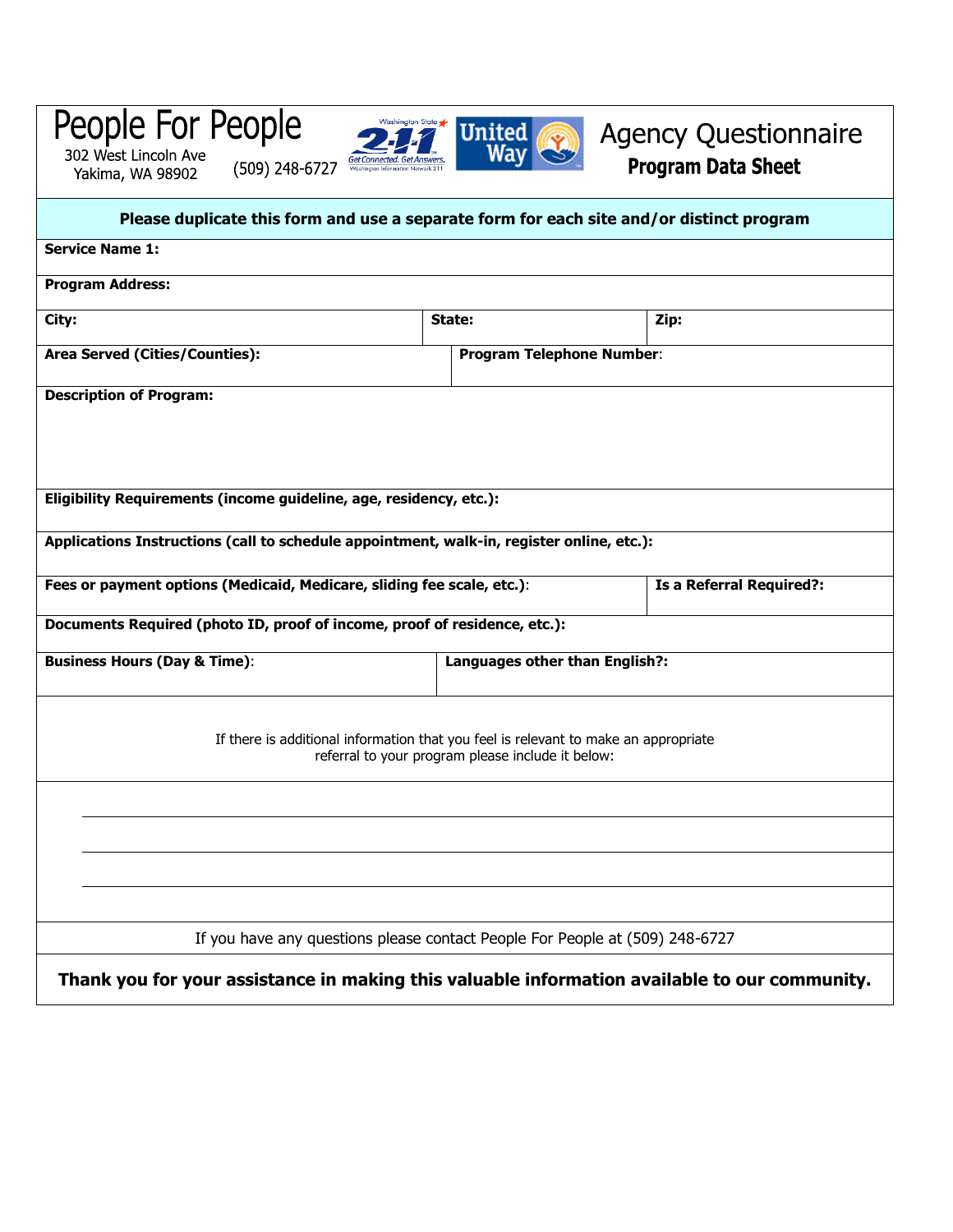| People For People<br>302 West Lincoln Ave<br>(509) 248-6727<br>Yakima, WA 98902           | Washington State<br>United                        | <b>Agency Questionnaire</b><br><b>Program Data Sheet</b> |
|-------------------------------------------------------------------------------------------|---------------------------------------------------|----------------------------------------------------------|
| Please duplicate this form and use a separate form for each site and/or distinct program  |                                                   |                                                          |
| <b>Service Name 1:</b>                                                                    |                                                   |                                                          |
| <b>Program Address:</b>                                                                   |                                                   |                                                          |
| City:                                                                                     | State:                                            | Zip:                                                     |
| Area Served (Cities/Counties):                                                            | <b>Program Telephone Number:</b>                  |                                                          |
| <b>Description of Program:</b>                                                            |                                                   |                                                          |
| Eligibility Requirements (income guideline, age, residency, etc.):                        |                                                   |                                                          |
| Applications Instructions (call to schedule appointment, walk-in, register online, etc.): |                                                   |                                                          |
| Fees or payment options (Medicaid, Medicare, sliding fee scale, etc.):                    |                                                   | <b>Is a Referral Required?:</b>                          |
| Documents Required (photo ID, proof of income, proof of residence, etc.):                 |                                                   |                                                          |
| <b>Business Hours (Day &amp; Time):</b>                                                   | Languages other than English?:                    |                                                          |
|                                                                                           |                                                   |                                                          |
| If there is additional information that you feel is relevant to make an appropriate       | referral to your program please include it below: |                                                          |
| If you have any questions please contact People For People at (509) 248-6727              |                                                   |                                                          |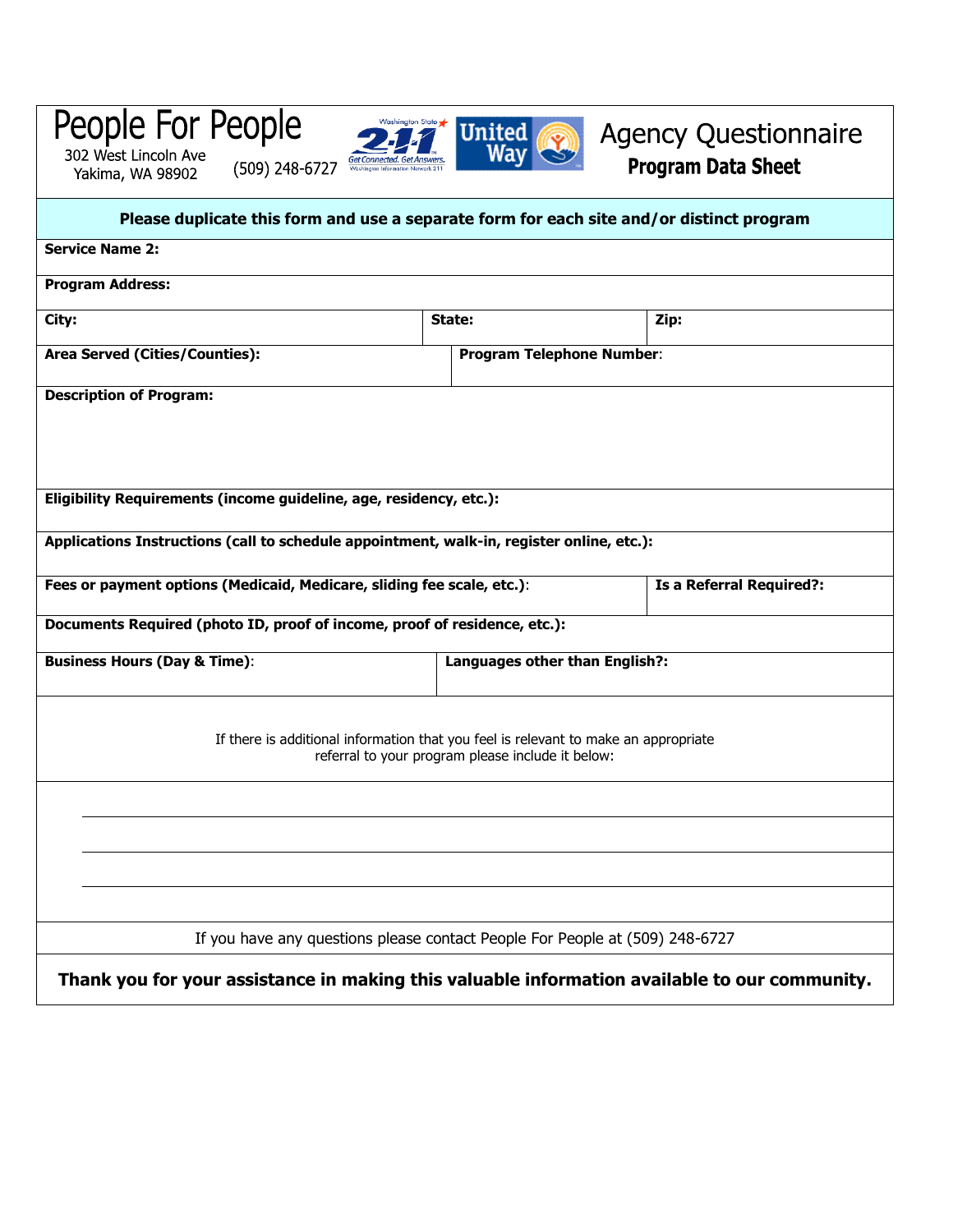| People For People<br>Washington State<br>302 West Lincoln Ave<br>(509) 248-6727<br>Yakima, WA 98902                                                             | United                                            | <b>Agency Questionnaire</b><br><b>Program Data Sheet</b> |
|-----------------------------------------------------------------------------------------------------------------------------------------------------------------|---------------------------------------------------|----------------------------------------------------------|
| Please duplicate this form and use a separate form for each site and/or distinct program                                                                        |                                                   |                                                          |
| <b>Service Name 2:</b>                                                                                                                                          |                                                   |                                                          |
| <b>Program Address:</b>                                                                                                                                         |                                                   |                                                          |
| City:                                                                                                                                                           | State:                                            | Zip:                                                     |
| Area Served (Cities/Counties):                                                                                                                                  | <b>Program Telephone Number:</b>                  |                                                          |
| <b>Description of Program:</b>                                                                                                                                  |                                                   |                                                          |
|                                                                                                                                                                 |                                                   |                                                          |
| Eligibility Requirements (income guideline, age, residency, etc.):<br>Applications Instructions (call to schedule appointment, walk-in, register online, etc.): |                                                   |                                                          |
| Fees or payment options (Medicaid, Medicare, sliding fee scale, etc.):                                                                                          |                                                   | <b>Is a Referral Required?:</b>                          |
| Documents Required (photo ID, proof of income, proof of residence, etc.):                                                                                       |                                                   |                                                          |
| <b>Business Hours (Day &amp; Time):</b>                                                                                                                         | Languages other than English?:                    |                                                          |
| If there is additional information that you feel is relevant to make an appropriate                                                                             | referral to your program please include it below: |                                                          |
|                                                                                                                                                                 |                                                   |                                                          |
| If you have any questions please contact People For People at (509) 248-6727                                                                                    |                                                   |                                                          |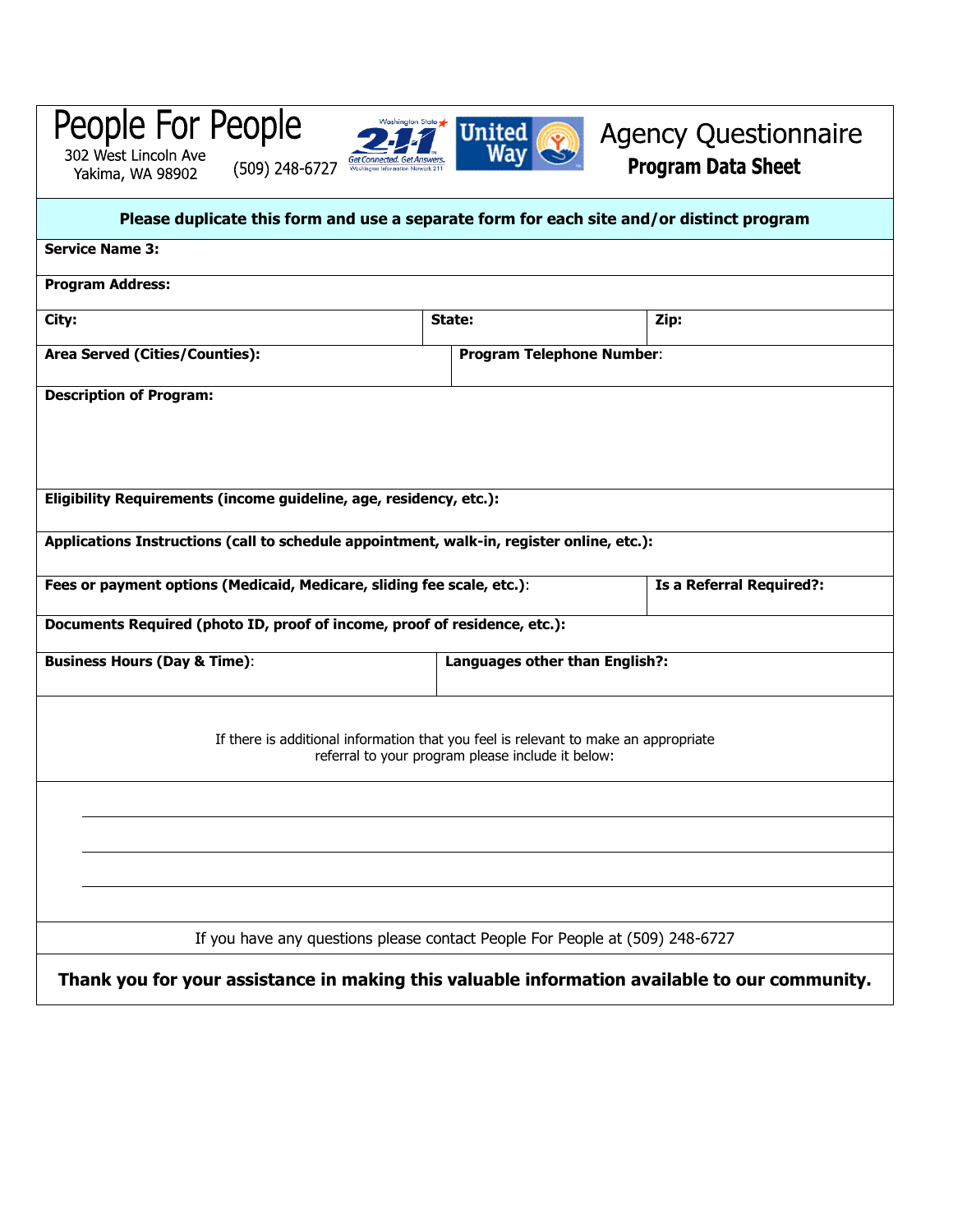| People For People<br>302 West Lincoln Ave<br>(509) 248-6727<br>Yakima, WA 98902           | Washington State<br>United                                                               | <b>Agency Questionnaire</b><br><b>Program Data Sheet</b> |
|-------------------------------------------------------------------------------------------|------------------------------------------------------------------------------------------|----------------------------------------------------------|
|                                                                                           | Please duplicate this form and use a separate form for each site and/or distinct program |                                                          |
| <b>Service Name 3:</b>                                                                    |                                                                                          |                                                          |
| <b>Program Address:</b>                                                                   |                                                                                          |                                                          |
| City:                                                                                     | State:                                                                                   | Zip:                                                     |
| Area Served (Cities/Counties):                                                            | <b>Program Telephone Number:</b>                                                         |                                                          |
| <b>Description of Program:</b>                                                            |                                                                                          |                                                          |
|                                                                                           |                                                                                          |                                                          |
|                                                                                           |                                                                                          |                                                          |
| Eligibility Requirements (income guideline, age, residency, etc.):                        |                                                                                          |                                                          |
|                                                                                           |                                                                                          |                                                          |
| Applications Instructions (call to schedule appointment, walk-in, register online, etc.): |                                                                                          |                                                          |
| Fees or payment options (Medicaid, Medicare, sliding fee scale, etc.):                    |                                                                                          | <b>Is a Referral Required?:</b>                          |
| Documents Required (photo ID, proof of income, proof of residence, etc.):                 |                                                                                          |                                                          |
| <b>Business Hours (Day &amp; Time):</b>                                                   | Languages other than English?:                                                           |                                                          |
|                                                                                           |                                                                                          |                                                          |
|                                                                                           | If there is additional information that you feel is relevant to make an appropriate      |                                                          |
|                                                                                           | referral to your program please include it below:                                        |                                                          |
|                                                                                           |                                                                                          |                                                          |
|                                                                                           |                                                                                          |                                                          |
|                                                                                           |                                                                                          |                                                          |
|                                                                                           |                                                                                          |                                                          |
|                                                                                           |                                                                                          |                                                          |
|                                                                                           | If you have any questions please contact People For People at (509) 248-6727             |                                                          |